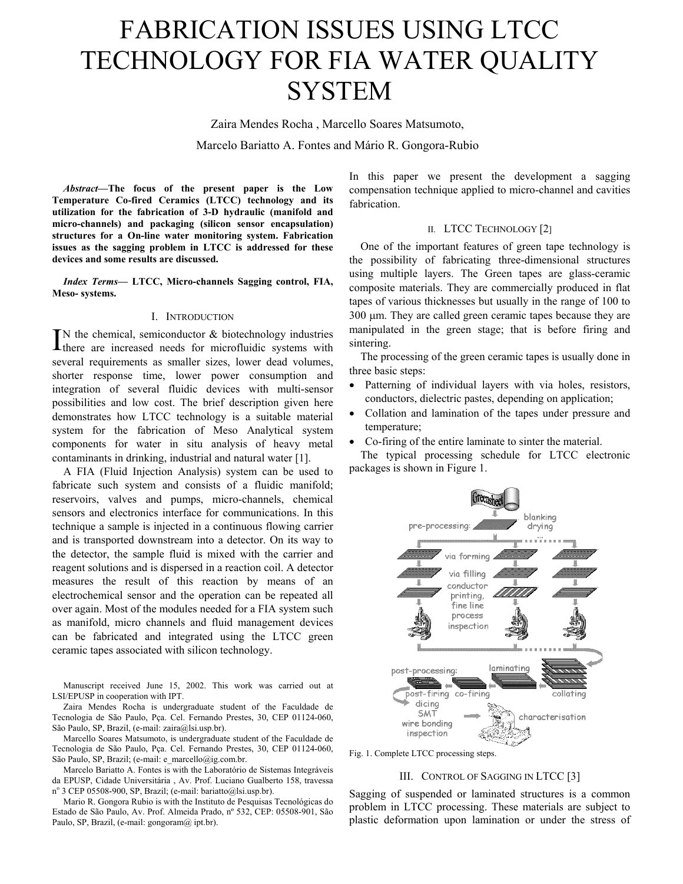# FABRICATION ISSUES USING LTCC TECHNOLOGY FOR FIA WATER QUALITY **SYSTEM**

Zaira Mendes Rocha , Marcello Soares Matsumoto,

Marcelo Bariatto A. Fontes and Mário R. Gongora-Rubio

*Abstract***—The focus of the present paper is the Low Temperature Co-fired Ceramics (LTCC) technology and its utilization for the fabrication of 3-D hydraulic (manifold and micro-channels) and packaging (silicon sensor encapsulation) structures for a On-line water monitoring system. Fabrication issues as the sagging problem in LTCC is addressed for these devices and some results are discussed.**

*Index Terms***— LTCC, Micro-channels Sagging control, FIA, Meso- systems.**

#### I. INTRODUCTION

 $\prod$ N the chemical, semiconductor  $\&$  biotechnology industries there are increased needs for microfluidic systems with several requirements as smaller sizes, lower dead volumes, shorter response time, lower power consumption and integration of several fluidic devices with multi-sensor possibilities and low cost. The brief description given here demonstrates how LTCC technology is a suitable material system for the fabrication of Meso Analytical system components for water in situ analysis of heavy metal contaminants in drinking, industrial and natural water [1].

A FIA (Fluid Injection Analysis) system can be used to packages is shown in Figure 1. fabricate such system and consists of a fluidic manifold; reservoirs, valves and pumps, micro-channels, chemical sensors and electronics interface for communications. In this technique a sample is injected in a continuous flowing carrier and is transported downstream into a detector. On its way to the detector, the sample fluid is mixed with the carrier and reagent solutions and is dispersed in a reaction coil. A detector measures the result of this reaction by means of an electrochemical sensor and the operation can be repeated all over again. Most of the modules needed for a FIA system such as manifold, micro channels and fluid management devices can be fabricated and integrated using the LTCC green ceramic tapes associated with silicon technology.

Manuscript received June 15, 2002. This work was carried out at LSI/EPUSP in cooperation with IPT.

Zaira Mendes Rocha is undergraduate student of the Faculdade de Tecnologia de São Paulo, Pça. Cel. Fernando Prestes, 30, CEP 01124-060, São Paulo, SP, Brazil, (e-mail: zaira@lsi.usp.br).

Marcello Soares Matsumoto, is undergraduate student of the Faculdade de Tecnologia de São Paulo, Pça. Cel. Fernando Prestes, 30, CEP 01124-060, Techologia de São Paulo, Pçã. Cel. Fernando Prestes, 30, CEP 01124-060, Fig. 1. Complete LTCC processing steps.<br>São Paulo, SP, Brazil; (e-mail: e\_marcello@ig.com.br.

Marcelo Bariatto A. Fontes is with the Laboratório de Sistemas Integráveis da EPUSP, Cidade Universitária , Av. Prof. Luciano Gualberto 158, travessa nº 3 CEP 05508-900, SP, Brazil; (e-mail: bariatto@lsi.usp.br).

Mario R. Gongora Rubio is with the Instituto de Pesquisas Tecnológicas do Estado de São Paulo, Av. Prof. Almeida Prado, nº 532, CEP: 05508-901, São Paulo, SP, Brazil, (e-mail: gongoram@ ipt.br).

In this paper we present the development a sagging compensation technique applied to micro-channel and cavities fabrication.

## II. LTCC TECHNOLOGY [2]

One of the important features of green tape technology is the possibility of fabricating three-dimensional structures using multiple layers. The Green tapes are glass-ceramic composite materials. They are commercially produced in flat tapes of various thicknesses but usually in the range of 100 to 300 µm. They are called green ceramic tapes because they are manipulated in the green stage; that is before firing and sintering.

The processing of the green ceramic tapes is usually done in three basic steps:

- Patterning of individual layers with via holes, resistors, conductors, dielectric pastes, depending on application;
- Collation and lamination of the tapes under pressure and temperature;
- Co-firing of the entire laminate to sinter the material.

The typical processing schedule for LTCC electronic



## III. CONTROL OF SAGGING IN LTCC [3]

Sagging of suspended or laminated structures is a common problem in LTCC processing. These materials are subject to plastic deformation upon lamination or under the stress of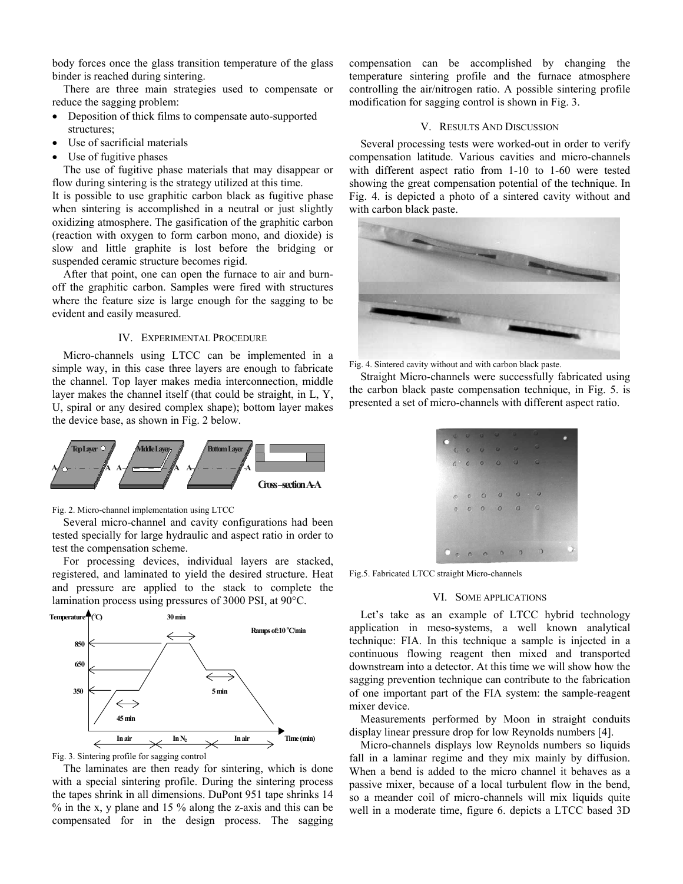body forces once the glass transition temperature of the glass binder is reached during sintering.

There are three main strategies used to compensate or reduce the sagging problem:

- Deposition of thick films to compensate auto-supported structures;
- Use of sacrificial materials
- Use of fugitive phases

The use of fugitive phase materials that may disappear or flow during sintering is the strategy utilized at this time.

It is possible to use graphitic carbon black as fugitive phase when sintering is accomplished in a neutral or just slightly oxidizing atmosphere. The gasification of the graphitic carbon (reaction with oxygen to form carbon mono, and dioxide) is slow and little graphite is lost before the bridging or suspended ceramic structure becomes rigid.

After that point, one can open the furnace to air and burnoff the graphitic carbon. Samples were fired with structures where the feature size is large enough for the sagging to be evident and easily measured.

## IV. EXPERIMENTAL PROCEDURE

Micro-channels using LTCC can be implemented in a simple way, in this case three layers are enough to fabricate the channel. Top layer makes media interconnection, middle layer makes the channel itself (that could be straight, in L, Y, U, spiral or any desired complex shape); bottom layer makes the device base, as shown in Fig. 2 below.



### Fig. 2. Micro-channel implementation using LTCC

Several micro-channel and cavity configurations had been tested specially for large hydraulic and aspect ratio in order to test the compensation scheme.

For processing devices, individual layers are stacked, registered, and laminated to yield the desired structure. Heat and pressure are applied to the stack to complete the lamination process using pressures of 3000 PSI, at 90°C.



Fig. 3. Sintering profile for sagging control

The laminates are then ready for sintering, which is done with a special sintering profile. During the sintering process the tapes shrink in all dimensions. DuPont 951 tape shrinks 14 % in the x, y plane and 15 % along the z-axis and this can be compensated for in the design process. The sagging

compensation can be accomplished by changing the temperature sintering profile and the furnace atmosphere controlling the air/nitrogen ratio. A possible sintering profile modification for sagging control is shown in Fig. 3.

#### V. RESULTS AND DISCUSSION

Several processing tests were worked-out in order to verify compensation latitude. Various cavities and micro-channels with different aspect ratio from 1-10 to 1-60 were tested showing the great compensation potential of the technique. In Fig. 4. is depicted a photo of a sintered cavity without and with carbon black paste.



Fig. 4. Sintered cavity without and with carbon black paste.

Straight Micro-channels were successfully fabricated using the carbon black paste compensation technique, in Fig. 5. is presented a set of micro-channels with different aspect ratio.

|  |  | $\begin{array}{ccccc}\n\bullet & \circ & \circ & \circ & \circ\n\end{array}$ |                                                                                                 |                                                                                                              |  |
|--|--|------------------------------------------------------------------------------|-------------------------------------------------------------------------------------------------|--------------------------------------------------------------------------------------------------------------|--|
|  |  |                                                                              | $\begin{array}{c cccc}\n\bullet & \bullet & \bullet & \bullet & \bullet & \bullet\n\end{array}$ | o                                                                                                            |  |
|  |  |                                                                              | 600000                                                                                          |                                                                                                              |  |
|  |  |                                                                              |                                                                                                 |                                                                                                              |  |
|  |  |                                                                              | 000000                                                                                          |                                                                                                              |  |
|  |  |                                                                              | 0 0 0 0 0 0                                                                                     |                                                                                                              |  |
|  |  |                                                                              |                                                                                                 |                                                                                                              |  |
|  |  |                                                                              |                                                                                                 |                                                                                                              |  |
|  |  |                                                                              |                                                                                                 | $\begin{array}{ccccccccccccccccc} \circ & & & & & \circ & & \circ & & \circ & & \circ & & \circ \end{array}$ |  |
|  |  |                                                                              |                                                                                                 |                                                                                                              |  |

Fig.5. Fabricated LTCC straight Micro-channels

## VI. SOME APPLICATIONS

Let's take as an example of LTCC hybrid technology application in meso-systems, a well known analytical technique: FIA. In this technique a sample is injected in a continuous flowing reagent then mixed and transported downstream into a detector. At this time we will show how the sagging prevention technique can contribute to the fabrication of one important part of the FIA system: the sample-reagent mixer device.

Measurements performed by Moon in straight conduits display linear pressure drop for low Reynolds numbers [4].

Micro-channels displays low Reynolds numbers so liquids fall in a laminar regime and they mix mainly by diffusion. When a bend is added to the micro channel it behaves as a passive mixer, because of a local turbulent flow in the bend, so a meander coil of micro-channels will mix liquids quite well in a moderate time, figure 6. depicts a LTCC based 3D